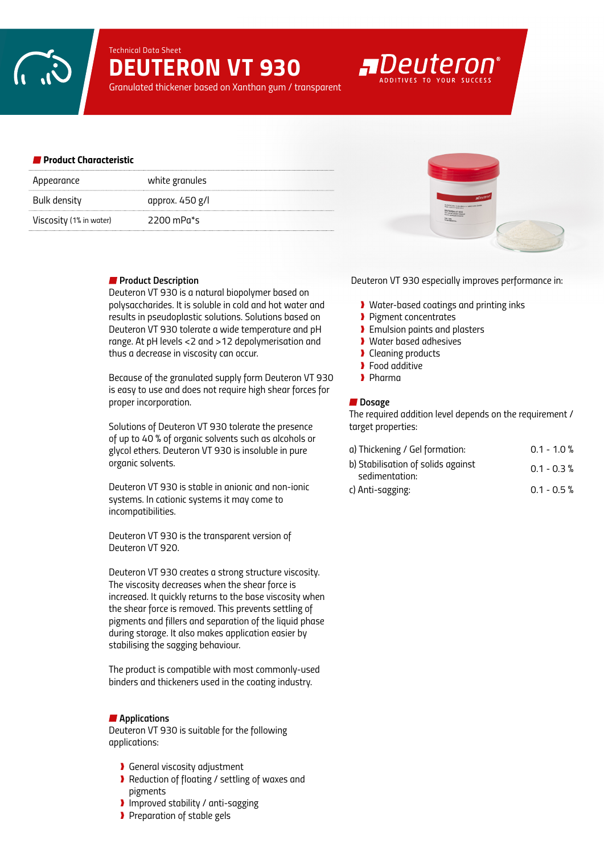*Technical Data Sheet*

# *DEUTERON VT 930*

*Granulated thickener based on Xanthan gum / transparent*

#### *Product Characteristic*

| Appearance              | white granules  |
|-------------------------|-----------------|
| Bulk density            | approx. 450 g/l |
| Viscosity (1% in water) | 2200 mPa $*_$ s |

## *Product Description*

*Deuteron VT 930 is a natural biopolymer based on polysaccharides. It is soluble in cold and hot water and results in pseudoplastic solutions. Solutions based on Deuteron VT 930 tolerate a wide temperature and pH range. At pH levels <2 and >12 depolymerisation and thus a decrease in viscosity can occur.* 

*Because of the granulated supply form Deuteron VT 930 is easy to use and does not require high shear forces for proper incorporation.* 

*Solutions of Deuteron VT 930 tolerate the presence of up to 40 % of organic solvents such as alcohols or glycol ethers. Deuteron VT 930 is insoluble in pure organic solvents.* 

*Deuteron VT 930 is stable in anionic and non-ionic systems. In cationic systems it may come to incompatibilities.* 

*Deuteron VT 930 is the transparent version of Deuteron VT 920.*

*Deuteron VT 930 creates a strong structure viscosity. The viscosity decreases when the shear force is increased. It quickly returns to the base viscosity when the shear force is removed. This prevents settling of pigments and fillers and separation of the liquid phase during storage. It also makes application easier by stabilising the sagging behaviour.*

*The product is compatible with most commonly-used binders and thickeners used in the coating industry.*

### *Applications*

*Deuteron VT 930 is suitable for the following applications:*

- ❱ *General viscosity adjustment*
- ❱ *Reduction of floating / settling of waxes and pigments*
- ❱ *Improved stability / anti-sagging*
- ❱ *Preparation of stable gels*



*Deuteron VT 930 especially improves performance in:*

- ❱ *Water-based coatings and printing inks*
- ❱ *Pigment concentrates*
- ❱ *Emulsion paints and plasters*

**ADeuteron** 

- ❱ *Water based adhesives*
- ❱ *Cleaning products*
- ❱ *Food additive*
- ❱ *Pharma*

#### ■ Dosage

*The required addition level depends on the requirement / target properties:*

| a) Thickening / Gel formation:                       | $0.1 - 1.0 \%$ |
|------------------------------------------------------|----------------|
| b) Stabilisation of solids against<br>sedimentation: | $0.1 - 0.3 \%$ |
| c) Anti-sagging:                                     | $0.1 - 0.5$ %  |